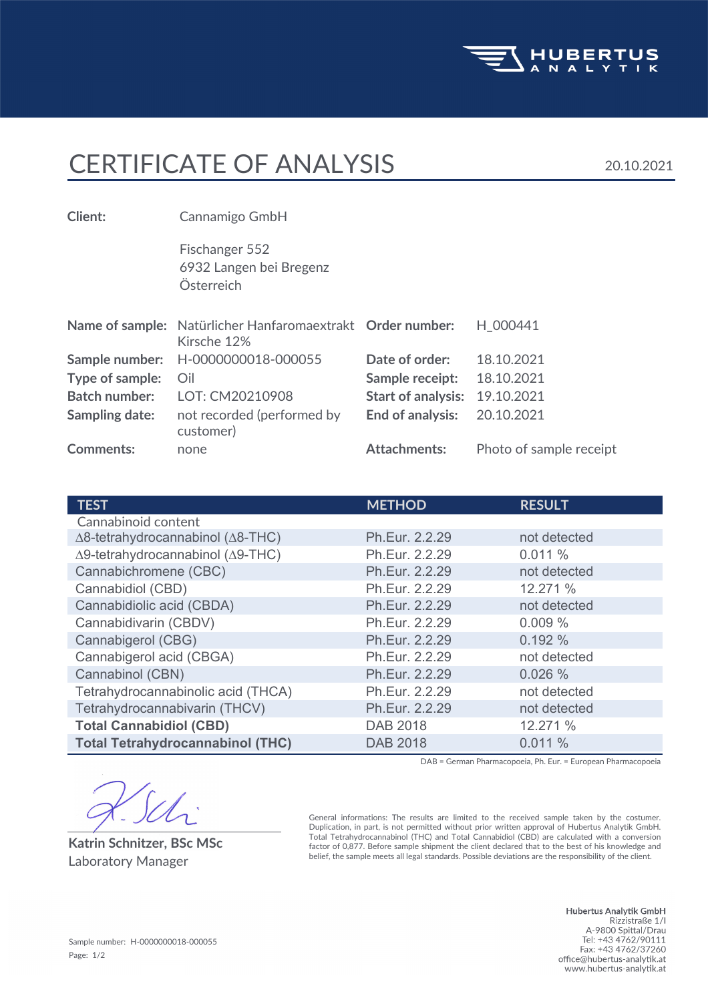

## CERTIFICATE OF ANALYSIS 20.10.2021

Österreich 6932 Langen bei Bregenz Fischanger 552 **Client:** Cannamigo GmbH **Comments:** none **Attachments:** Photo of sample receipt not recorded (performed by **End of analysis:** 20.10.2021 customer) **Sampling date: Batch number:** LOT: CM20210908 **Start of analysis:** 19.10.2021 **Type of sample:** Oil **Sample receipt:** 18.10.2021 **Sample number:** H-0000000018-000055 **Date of order:** 18.10.2021 Name of sample: Natürlicher Hanfaromaextrakt Order number: H\_000441 Kirsche 12%

| <b>TEST</b>                                       | <b>METHOD</b>   | <b>RESULT</b> |
|---------------------------------------------------|-----------------|---------------|
| Cannabinoid content                               |                 |               |
| $\Delta$ 8-tetrahydrocannabinol ( $\Delta$ 8-THC) | Ph.Eur. 2.2.29  | not detected  |
| Δ9-tetrahydrocannabinol (Δ9-THC)                  | Ph.Eur. 2.2.29  | 0.011%        |
| Cannabichromene (CBC)                             | Ph.Eur. 2.2.29  | not detected  |
| Cannabidiol (CBD)                                 | Ph.Eur. 2.2.29  | 12.271 %      |
| Cannabidiolic acid (CBDA)                         | Ph.Eur. 2.2.29  | not detected  |
| Cannabidivarin (CBDV)                             | Ph.Eur. 2.2.29  | 0.009%        |
| Cannabigerol (CBG)                                | Ph.Eur. 2.2.29  | 0.192%        |
| Cannabigerol acid (CBGA)                          | Ph.Eur. 2.2.29  | not detected  |
| Cannabinol (CBN)                                  | Ph.Eur. 2.2.29  | 0.026%        |
| Tetrahydrocannabinolic acid (THCA)                | Ph.Eur. 2.2.29  | not detected  |
| Tetrahydrocannabivarin (THCV)                     | Ph.Eur. 2.2.29  | not detected  |
| <b>Total Cannabidiol (CBD)</b>                    | DAB 2018        | 12.271 %      |
| <b>Total Tetrahydrocannabinol (THC)</b>           | <b>DAB 2018</b> | 0.011%        |

DAB = German Pharmacopoeia, Ph. Eur. = European Pharmacopoeia

**Katrin Schnitzer, BSc MSc**

General informations: The results are limited to the received sample taken by the costumer. Duplication, in part, is not permitted without prior written approval of Hubertus Analytik GmbH. Total Tetrahydrocannabinol (THC) and Total Cannabidiol (CBD) are calculated with a conversion factor of 0,877. Before sample shipment the client declared that to the best of his knowledge and Laboratory Manager belief, the sample meets all legal standards. Possible deviations are the responsibility of the client.

> Hubertus Analytik GmbH Rizzistraße 1/1<br>Rizzistraße 1/1<br>A-9800 Spittal/Drau<br>Tel: +43 4762/90111 Fax: +43 4762/37260 office@hubertus-analytik.at www.hubertus-analytik.at